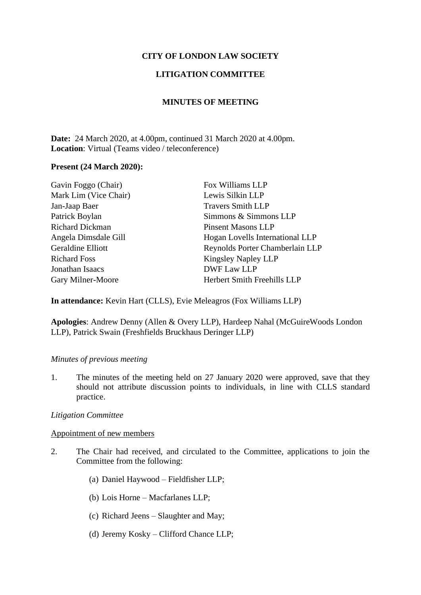# **CITY OF LONDON LAW SOCIETY**

# **LITIGATION COMMITTEE**

# **MINUTES OF MEETING**

**Date:** 24 March 2020, at 4.00pm, continued 31 March 2020 at 4.00pm. **Location**: Virtual (Teams video / teleconference)

#### **Present (24 March 2020):**

| Gavin Foggo (Chair)    | Fox Williams LLP                |
|------------------------|---------------------------------|
| Mark Lim (Vice Chair)  | Lewis Silkin LLP                |
| Jan-Jaap Baer          | <b>Travers Smith LLP</b>        |
| Patrick Boylan         | Simmons & Simmons LLP           |
| <b>Richard Dickman</b> | <b>Pinsent Masons LLP</b>       |
| Angela Dimsdale Gill   | Hogan Lovells International LLP |
| Geraldine Elliott      | Reynolds Porter Chamberlain LLP |
| <b>Richard Foss</b>    | <b>Kingsley Napley LLP</b>      |
| Jonathan Isaacs        | DWF Law LLP                     |
| Gary Milner-Moore      | Herbert Smith Freehills LLP     |
|                        |                                 |

**In attendance:** Kevin Hart (CLLS), Evie Meleagros (Fox Williams LLP)

**Apologies**: Andrew Denny (Allen & Overy LLP), Hardeep Nahal (McGuireWoods London LLP), Patrick Swain (Freshfields Bruckhaus Deringer LLP)

#### *Minutes of previous meeting*

1. The minutes of the meeting held on 27 January 2020 were approved, save that they should not attribute discussion points to individuals, in line with CLLS standard practice.

## *Litigation Committee*

## Appointment of new members

- 2. The Chair had received, and circulated to the Committee, applications to join the Committee from the following:
	- (a) Daniel Haywood Fieldfisher LLP;
	- (b) Lois Horne Macfarlanes LLP;
	- (c) Richard Jeens Slaughter and May;
	- (d) Jeremy Kosky Clifford Chance LLP;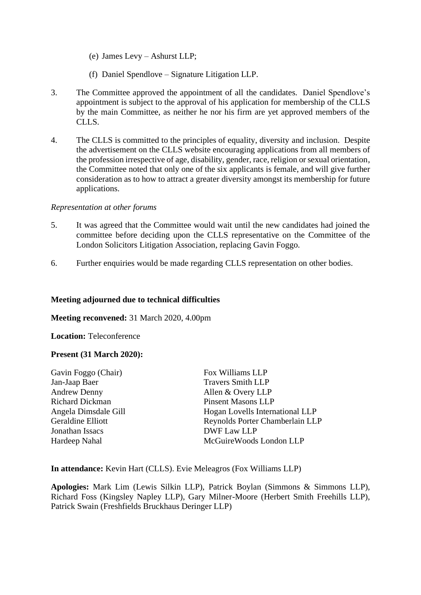- (e) James Levy Ashurst LLP;
- (f) Daniel Spendlove Signature Litigation LLP.
- 3. The Committee approved the appointment of all the candidates. Daniel Spendlove's appointment is subject to the approval of his application for membership of the CLLS by the main Committee, as neither he nor his firm are yet approved members of the CLLS.
- 4. The CLLS is committed to the principles of equality, diversity and inclusion. Despite the advertisement on the CLLS website encouraging applications from all members of the profession irrespective of age, disability, gender, race, religion or sexual orientation, the Committee noted that only one of the six applicants is female, and will give further consideration as to how to attract a greater diversity amongst its membership for future applications.

#### *Representation at other forums*

- 5. It was agreed that the Committee would wait until the new candidates had joined the committee before deciding upon the CLLS representative on the Committee of the London Solicitors Litigation Association, replacing Gavin Foggo.
- 6. Further enquiries would be made regarding CLLS representation on other bodies.

## **Meeting adjourned due to technical difficulties**

**Meeting reconvened:** 31 March 2020, 4.00pm

**Location:** Teleconference

#### **Present (31 March 2020):**

| Gavin Foggo (Chair)    | Fox Williams LLP                |
|------------------------|---------------------------------|
| Jan-Jaap Baer          | <b>Travers Smith LLP</b>        |
| <b>Andrew Denny</b>    | Allen & Overy LLP               |
| <b>Richard Dickman</b> | <b>Pinsent Masons LLP</b>       |
| Angela Dimsdale Gill   | Hogan Lovells International LLP |
| Geraldine Elliott      | Reynolds Porter Chamberlain LLP |
| Jonathan Issacs        | DWF Law LLP                     |
| Hardeep Nahal          | McGuire Woods London LLP        |
|                        |                                 |

**In attendance:** Kevin Hart (CLLS). Evie Meleagros (Fox Williams LLP)

**Apologies:** Mark Lim (Lewis Silkin LLP), Patrick Boylan (Simmons & Simmons LLP), Richard Foss (Kingsley Napley LLP), Gary Milner-Moore (Herbert Smith Freehills LLP), Patrick Swain (Freshfields Bruckhaus Deringer LLP)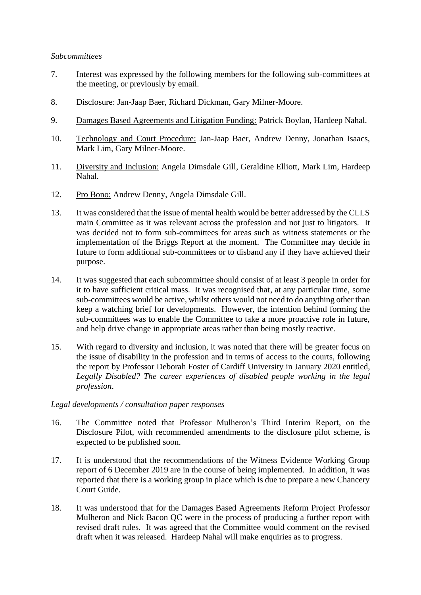#### *Subcommittees*

- 7. Interest was expressed by the following members for the following sub-committees at the meeting, or previously by email.
- 8. Disclosure: Jan-Jaap Baer, Richard Dickman, Gary Milner-Moore.
- 9. Damages Based Agreements and Litigation Funding: Patrick Boylan, Hardeep Nahal.
- 10. Technology and Court Procedure: Jan-Jaap Baer, Andrew Denny, Jonathan Isaacs, Mark Lim, Gary Milner-Moore.
- 11. Diversity and Inclusion: Angela Dimsdale Gill, Geraldine Elliott, Mark Lim, Hardeep Nahal.
- 12. Pro Bono: Andrew Denny, Angela Dimsdale Gill.
- 13. It was considered that the issue of mental health would be better addressed by the CLLS main Committee as it was relevant across the profession and not just to litigators. It was decided not to form sub-committees for areas such as witness statements or the implementation of the Briggs Report at the moment. The Committee may decide in future to form additional sub-committees or to disband any if they have achieved their purpose.
- 14. It was suggested that each subcommittee should consist of at least 3 people in order for it to have sufficient critical mass. It was recognised that, at any particular time, some sub-committees would be active, whilst others would not need to do anything other than keep a watching brief for developments. However, the intention behind forming the sub-committees was to enable the Committee to take a more proactive role in future, and help drive change in appropriate areas rather than being mostly reactive.
- 15. With regard to diversity and inclusion, it was noted that there will be greater focus on the issue of disability in the profession and in terms of access to the courts, following the report by Professor Deborah Foster of Cardiff University in January 2020 entitled, *Legally Disabled? The career experiences of disabled people working in the legal profession*.

#### *Legal developments / consultation paper responses*

- 16. The Committee noted that Professor Mulheron's Third Interim Report, on the Disclosure Pilot, with recommended amendments to the disclosure pilot scheme, is expected to be published soon.
- 17. It is understood that the recommendations of the Witness Evidence Working Group report of 6 December 2019 are in the course of being implemented. In addition, it was reported that there is a working group in place which is due to prepare a new Chancery Court Guide.
- 18. It was understood that for the Damages Based Agreements Reform Project Professor Mulheron and Nick Bacon QC were in the process of producing a further report with revised draft rules. It was agreed that the Committee would comment on the revised draft when it was released. Hardeep Nahal will make enquiries as to progress.